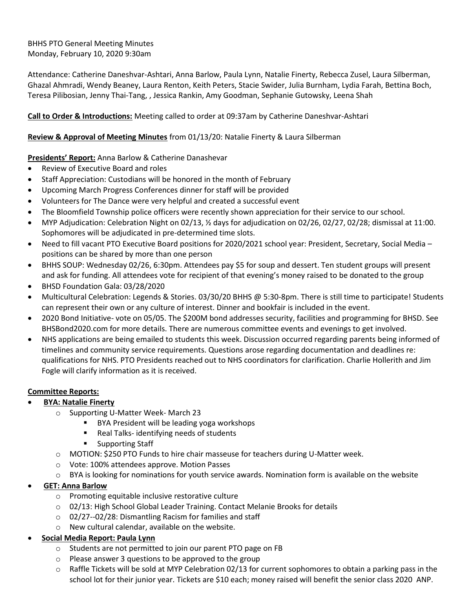BHHS PTO General Meeting Minutes Monday, February 10, 2020 9:30am

Attendance: Catherine Daneshvar-Ashtari, Anna Barlow, Paula Lynn, Natalie Finerty, Rebecca Zusel, Laura Silberman, Ghazal Ahmradi, Wendy Beaney, Laura Renton, Keith Peters, Stacie Swider, Julia Burnham, Lydia Farah, Bettina Boch, Teresa Pilibosian, Jenny Thai-Tang, , Jessica Rankin, Amy Goodman, Sephanie Gutowsky, Leena Shah

# **Call to Order & Introductions:** Meeting called to order at 09:37am by Catherine Daneshvar-Ashtari

### **Review & Approval of Meeting Minutes** from 01/13/20: Natalie Finerty & Laura Silberman

# **Presidents' Report:** Anna Barlow & Catherine Danashevar

- Review of Executive Board and roles
- Staff Appreciation: Custodians will be honored in the month of February
- Upcoming March Progress Conferences dinner for staff will be provided
- Volunteers for The Dance were very helpful and created a successful event
- The Bloomfield Township police officers were recently shown appreciation for their service to our school.
- MYP Adjudication: Celebration Night on 02/13, ½ days for adjudication on 02/26, 02/27, 02/28; dismissal at 11:00. Sophomores will be adjudicated in pre-determined time slots.
- Need to fill vacant PTO Executive Board positions for 2020/2021 school year: President, Secretary, Social Media positions can be shared by more than one person
- BHHS SOUP: Wednesday 02/26, 6:30pm. Attendees pay \$5 for soup and dessert. Ten student groups will present and ask for funding. All attendees vote for recipient of that evening's money raised to be donated to the group
- BHSD Foundation Gala: 03/28/2020
- Multicultural Celebration: Legends & Stories. 03/30/20 BHHS @ 5:30-8pm. There is still time to participate! Students can represent their own or any culture of interest. Dinner and bookfair is included in the event.
- 2020 Bond Initiative- vote on 05/05. The \$200M bond addresses security, facilities and programming for BHSD. See BHSBond2020.com for more details. There are numerous committee events and evenings to get involved.
- NHS applications are being emailed to students this week. Discussion occurred regarding parents being informed of timelines and community service requirements. Questions arose regarding documentation and deadlines re: qualifications for NHS. PTO Presidents reached out to NHS coordinators for clarification. Charlie Hollerith and Jim Fogle will clarify information as it is received.

# **Committee Reports:**

- **BYA: Natalie Finerty**
	- o Supporting U-Matter Week- March 23
		- BYA President will be leading yoga workshops
		- Real Talks- identifying needs of students
		- Supporting Staff
	- o MOTION: \$250 PTO Funds to hire chair masseuse for teachers during U-Matter week.
	- o Vote: 100% attendees approve. Motion Passes
	- $\circ$  BYA is looking for nominations for youth service awards. Nomination form is available on the website
- **GET: Anna Barlow**
	- o Promoting equitable inclusive restorative culture
	- o 02/13: High School Global Leader Training. Contact Melanie Brooks for details
	- o 02/27--02/28: Dismantling Racism for families and staff
	- o New cultural calendar, available on the website.
- **Social Media Report: Paula Lynn**
	- o Students are not permitted to join our parent PTO page on FB
	- o Please answer 3 questions to be approved to the group
	- $\circ$  Raffle Tickets will be sold at MYP Celebration 02/13 for current sophomores to obtain a parking pass in the school lot for their junior year. Tickets are \$10 each; money raised will benefit the senior class 2020 ANP.